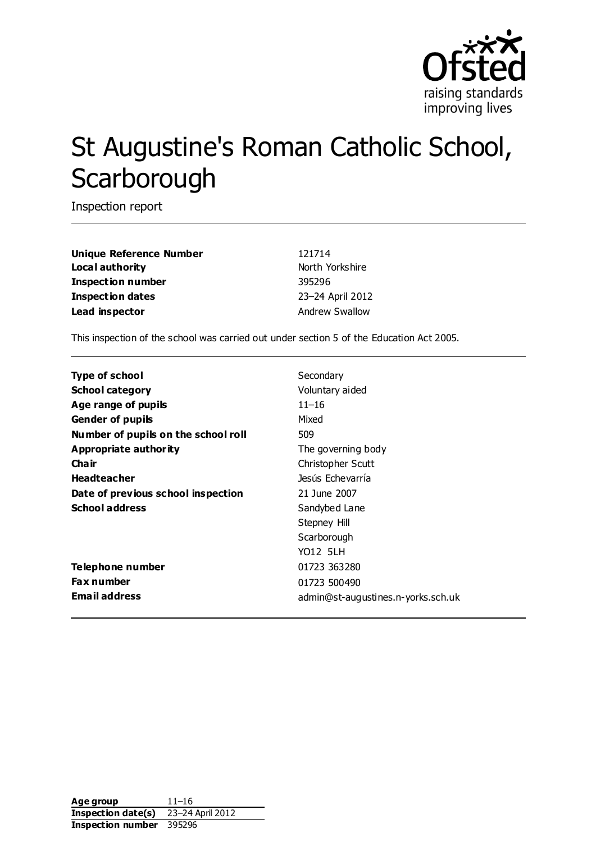

# St Augustine's Roman Catholic School, **Scarborough**

Inspection report

**Unique Reference Number** 121714 **Local authority North Yorkshire** North Yorkshire **Inspection number** 395296 **Inspection dates** 23–24 April 2012 **Lead inspector Andrew Swallow** 

This inspection of the school was carried out under section 5 of the Education Act 2005.

| <b>Type of school</b>               | Secondary                          |
|-------------------------------------|------------------------------------|
| <b>School category</b>              | Voluntary aided                    |
| Age range of pupils                 | $11 - 16$                          |
| <b>Gender of pupils</b>             | Mixed                              |
| Number of pupils on the school roll | 509                                |
| Appropriate authority               | The governing body                 |
| Cha ir                              | Christopher Scutt                  |
| <b>Headteacher</b>                  | Jesús Echevarría                   |
| Date of previous school inspection  | 21 June 2007                       |
| <b>School address</b>               | Sandybed Lane                      |
|                                     | Stepney Hill                       |
|                                     | Scarborough                        |
|                                     | <b>YO12 5LH</b>                    |
| <b>Telephone number</b>             | 01723 363280                       |
| <b>Fax number</b>                   | 01723 500490                       |
| <b>Email address</b>                | admin@st-augustines.n-yorks.sch.uk |

**Age group** 11–16 **Inspection date(s)** 23–24 April 2012 **Inspection number** 395296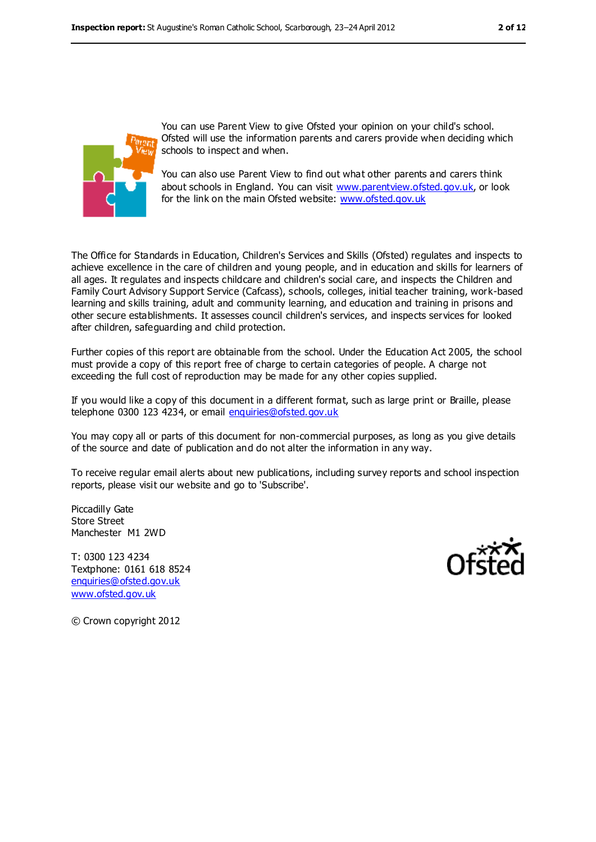

You can use Parent View to give Ofsted your opinion on your child's school. Ofsted will use the information parents and carers provide when deciding which schools to inspect and when.

You can also use Parent View to find out what other parents and carers think about schools in England. You can visit [www.parentview.ofsted.gov.uk,](www.parentview.ofsted.gov.uk) or look for the link on the main Ofsted website:<www.ofsted.gov.uk>

The Office for Standards in Education, Children's Services and Skills (Ofsted) regulates and inspects to achieve excellence in the care of children and young people, and in education and skills for learners of all ages. It regulates and inspects childcare and children's social care, and inspects the Children and Family Court Advisory Support Service (Cafcass), schools, colleges, initial teacher training, work-based learning and skills training, adult and community learning, and education and training in prisons and other secure establishments. It assesses council children's services, and inspects services for looked after children, safeguarding and child protection.

Further copies of this report are obtainable from the school. Under the Education Act 2005, the school must provide a copy of this report free of charge to certain categories of people. A charge not exceeding the full cost of reproduction may be made for any other copies supplied.

If you would like a copy of this document in a different format, such as large print or Braille, please telephone 0300 123 4234, or email [enquiries@ofsted.gov.uk](mailto:enquiries@ofsted.gov.uk)

You may copy all or parts of this document for non-commercial purposes, as long as you give details of the source and date of publication and do not alter the information in any way.

To receive regular email alerts about new publications, including survey reports and school inspection reports, please visit our website and go to 'Subscribe'.

Piccadilly Gate Store Street Manchester M1 2WD

T: 0300 123 4234 Textphone: 0161 618 8524 [enquiries@ofsted.gov.uk](mailto:enquiries@ofsted.gov.uk) [www.ofsted.gov.uk](http://www.ofsted.gov.uk/)



© Crown copyright 2012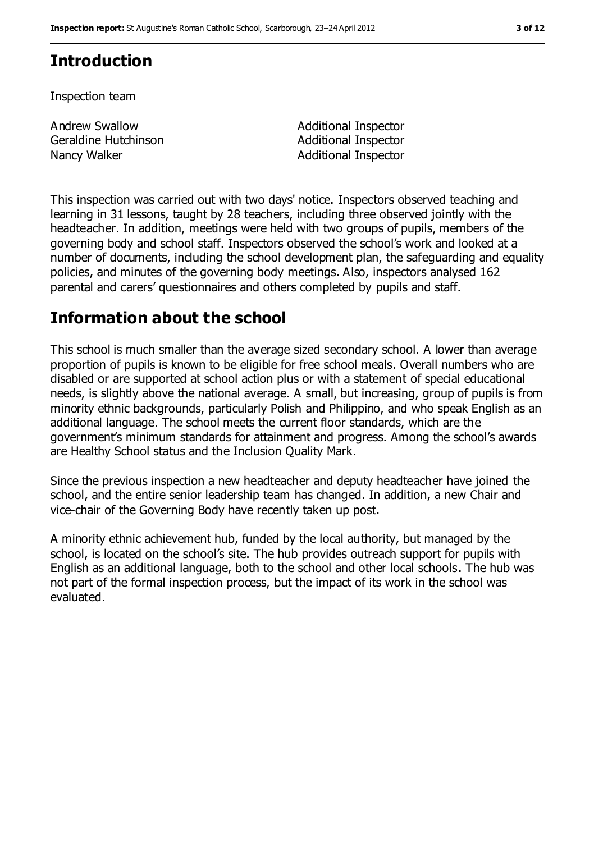### **Introduction**

Inspection team

Andrew Swallow Geraldine Hutchinson Nancy Walker **Additional Inspector** Additional Inspector

Additional Inspector Additional Inspector

This inspection was carried out with two days' notice. Inspectors observed teaching and learning in 31 lessons, taught by 28 teachers, including three observed jointly with the headteacher. In addition, meetings were held with two groups of pupils, members of the governing body and school staff. Inspectors observed the school's work and looked at a number of documents, including the school development plan, the safeguarding and equality policies, and minutes of the governing body meetings. Also, inspectors analysed 162 parental and carers' questionnaires and others completed by pupils and staff.

### **Information about the school**

This school is much smaller than the average sized secondary school. A lower than average proportion of pupils is known to be eligible for free school meals. Overall numbers who are disabled or are supported at school action plus or with a statement of special educational needs, is slightly above the national average. A small, but increasing, group of pupils is from minority ethnic backgrounds, particularly Polish and Philippino, and who speak English as an additional language. The school meets the current floor standards, which are the government's minimum standards for attainment and progress. Among the school's awards are Healthy School status and the Inclusion Quality Mark.

Since the previous inspection a new headteacher and deputy headteacher have joined the school, and the entire senior leadership team has changed. In addition, a new Chair and vice-chair of the Governing Body have recently taken up post.

A minority ethnic achievement hub, funded by the local authority, but managed by the school, is located on the school's site. The hub provides outreach support for pupils with English as an additional language, both to the school and other local schools. The hub was not part of the formal inspection process, but the impact of its work in the school was evaluated.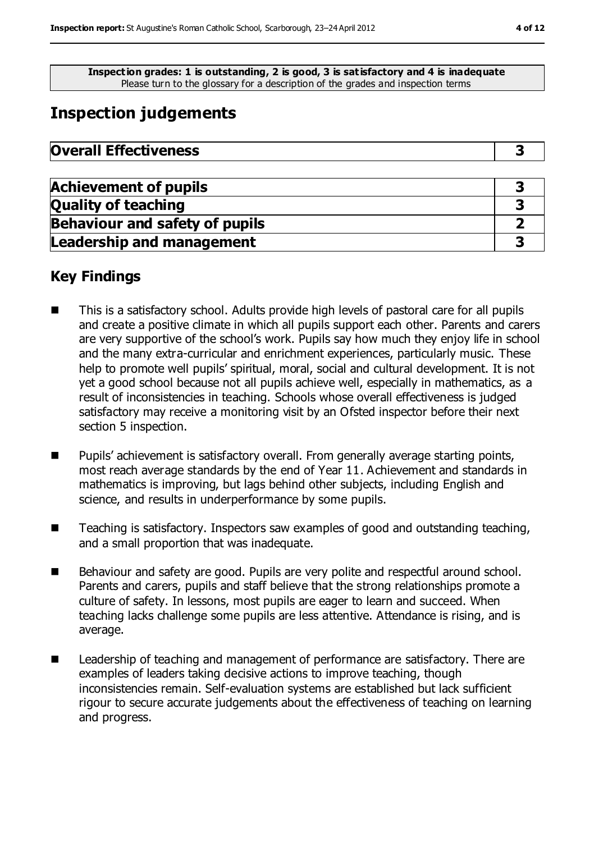**Inspection grades: 1 is outstanding, 2 is good, 3 is satisfactory and 4 is inadequate** Please turn to the glossary for a description of the grades and inspection terms

# **Inspection judgements**

| <b>Overall Effectiveness</b> |  |
|------------------------------|--|
|------------------------------|--|

| <b>Achievement of pupils</b>          |  |
|---------------------------------------|--|
| <b>Quality of teaching</b>            |  |
| <b>Behaviour and safety of pupils</b> |  |
| <b>Leadership and management</b>      |  |

### **Key Findings**

- This is a satisfactory school. Adults provide high levels of pastoral care for all pupils and create a positive climate in which all pupils support each other. Parents and carers are very supportive of the school's work. Pupils say how much they enjoy life in school and the many extra-curricular and enrichment experiences, particularly music. These help to promote well pupils' spiritual, moral, social and cultural development. It is not yet a good school because not all pupils achieve well, especially in mathematics, as a result of inconsistencies in teaching. Schools whose overall effectiveness is judged satisfactory may receive a monitoring visit by an Ofsted inspector before their next section 5 inspection.
- Pupils' achievement is satisfactory overall. From generally average starting points, most reach average standards by the end of Year 11. Achievement and standards in mathematics is improving, but lags behind other subjects, including English and science, and results in underperformance by some pupils.
- Teaching is satisfactory. Inspectors saw examples of good and outstanding teaching, and a small proportion that was inadequate.
- Behaviour and safety are good. Pupils are very polite and respectful around school. Parents and carers, pupils and staff believe that the strong relationships promote a culture of safety. In lessons, most pupils are eager to learn and succeed. When teaching lacks challenge some pupils are less attentive. Attendance is rising, and is average.
- Leadership of teaching and management of performance are satisfactory. There are examples of leaders taking decisive actions to improve teaching, though inconsistencies remain. Self-evaluation systems are established but lack sufficient rigour to secure accurate judgements about the effectiveness of teaching on learning and progress.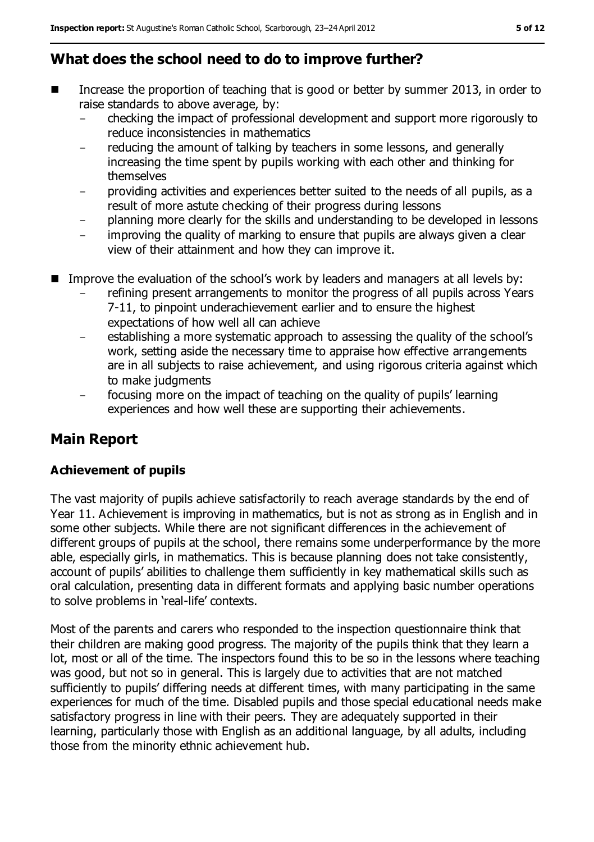# **What does the school need to do to improve further?**

- Increase the proportion of teaching that is good or better by summer 2013, in order to raise standards to above average, by:
	- checking the impact of professional development and support more rigorously to reduce inconsistencies in mathematics
	- reducing the amount of talking by teachers in some lessons, and generally increasing the time spent by pupils working with each other and thinking for themselves
	- providing activities and experiences better suited to the needs of all pupils, as a result of more astute checking of their progress during lessons
	- planning more clearly for the skills and understanding to be developed in lessons
	- improving the quality of marking to ensure that pupils are always given a clear view of their attainment and how they can improve it.
- Improve the evaluation of the school's work by leaders and managers at all levels by:
	- refining present arrangements to monitor the progress of all pupils across Years 7-11, to pinpoint underachievement earlier and to ensure the highest expectations of how well all can achieve
	- establishing a more systematic approach to assessing the quality of the school's work, setting aside the necessary time to appraise how effective arrangements are in all subjects to raise achievement, and using rigorous criteria against which to make judgments
	- focusing more on the impact of teaching on the quality of pupils' learning experiences and how well these are supporting their achievements.

# **Main Report**

### **Achievement of pupils**

The vast majority of pupils achieve satisfactorily to reach average standards by the end of Year 11. Achievement is improving in mathematics, but is not as strong as in English and in some other subjects. While there are not significant differences in the achievement of different groups of pupils at the school, there remains some underperformance by the more able, especially girls, in mathematics. This is because planning does not take consistently, account of pupils' abilities to challenge them sufficiently in key mathematical skills such as oral calculation, presenting data in different formats and applying basic number operations to solve problems in 'real-life' contexts.

Most of the parents and carers who responded to the inspection questionnaire think that their children are making good progress. The majority of the pupils think that they learn a lot, most or all of the time. The inspectors found this to be so in the lessons where teaching was good, but not so in general. This is largely due to activities that are not matched sufficiently to pupils' differing needs at different times, with many participating in the same experiences for much of the time. Disabled pupils and those special educational needs make satisfactory progress in line with their peers. They are adequately supported in their learning, particularly those with English as an additional language, by all adults, including those from the minority ethnic achievement hub.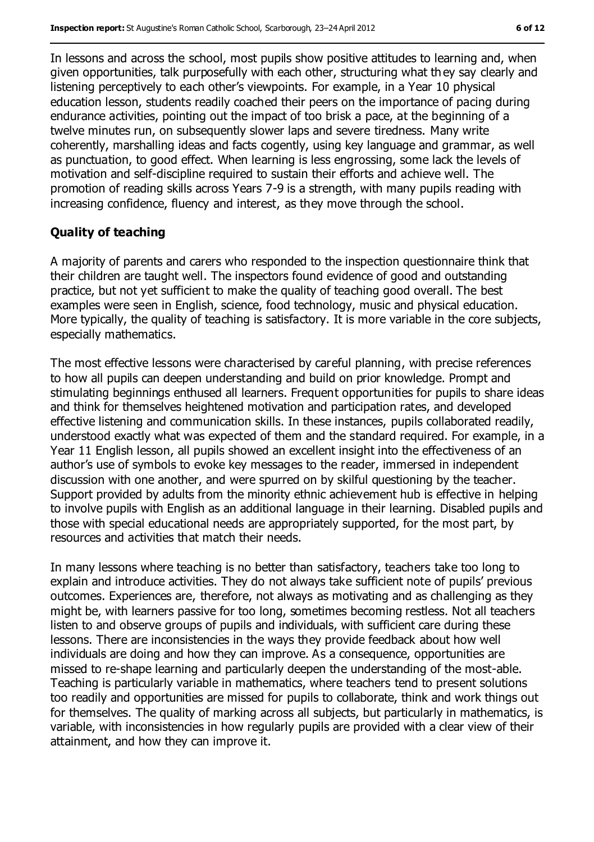In lessons and across the school, most pupils show positive attitudes to learning and, when given opportunities, talk purposefully with each other, structuring what th ey say clearly and listening perceptively to each other's viewpoints. For example, in a Year 10 physical education lesson, students readily coached their peers on the importance of pacing during endurance activities, pointing out the impact of too brisk a pace, at the beginning of a twelve minutes run, on subsequently slower laps and severe tiredness. Many write coherently, marshalling ideas and facts cogently, using key language and grammar, as well as punctuation, to good effect. When learning is less engrossing, some lack the levels of motivation and self-discipline required to sustain their efforts and achieve well. The promotion of reading skills across Years 7-9 is a strength, with many pupils reading with increasing confidence, fluency and interest, as they move through the school.

#### **Quality of teaching**

A majority of parents and carers who responded to the inspection questionnaire think that their children are taught well. The inspectors found evidence of good and outstanding practice, but not yet sufficient to make the quality of teaching good overall. The best examples were seen in English, science, food technology, music and physical education. More typically, the quality of teaching is satisfactory. It is more variable in the core subjects, especially mathematics.

The most effective lessons were characterised by careful planning, with precise references to how all pupils can deepen understanding and build on prior knowledge. Prompt and stimulating beginnings enthused all learners. Frequent opportunities for pupils to share ideas and think for themselves heightened motivation and participation rates, and developed effective listening and communication skills. In these instances, pupils collaborated readily, understood exactly what was expected of them and the standard required. For example, in a Year 11 English lesson, all pupils showed an excellent insight into the effectiveness of an author's use of symbols to evoke key messages to the reader, immersed in independent discussion with one another, and were spurred on by skilful questioning by the teacher. Support provided by adults from the minority ethnic achievement hub is effective in helping to involve pupils with English as an additional language in their learning. Disabled pupils and those with special educational needs are appropriately supported, for the most part, by resources and activities that match their needs.

In many lessons where teaching is no better than satisfactory, teachers take too long to explain and introduce activities. They do not always take sufficient note of pupils' previous outcomes. Experiences are, therefore, not always as motivating and as challenging as they might be, with learners passive for too long, sometimes becoming restless. Not all teachers listen to and observe groups of pupils and individuals, with sufficient care during these lessons. There are inconsistencies in the ways they provide feedback about how well individuals are doing and how they can improve. As a consequence, opportunities are missed to re-shape learning and particularly deepen the understanding of the most-able. Teaching is particularly variable in mathematics, where teachers tend to present solutions too readily and opportunities are missed for pupils to collaborate, think and work things out for themselves. The quality of marking across all subjects, but particularly in mathematics, is variable, with inconsistencies in how regularly pupils are provided with a clear view of their attainment, and how they can improve it.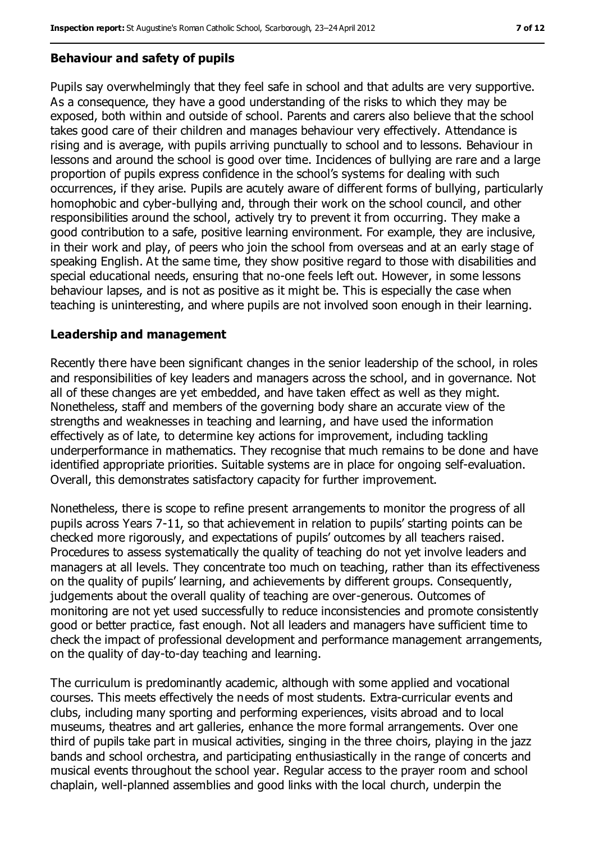#### **Behaviour and safety of pupils**

Pupils say overwhelmingly that they feel safe in school and that adults are very supportive. As a consequence, they have a good understanding of the risks to which they may be exposed, both within and outside of school. Parents and carers also believe that the school takes good care of their children and manages behaviour very effectively. Attendance is rising and is average, with pupils arriving punctually to school and to lessons. Behaviour in lessons and around the school is good over time. Incidences of bullying are rare and a large proportion of pupils express confidence in the school's systems for dealing with such occurrences, if they arise. Pupils are acutely aware of different forms of bullying, particularly homophobic and cyber-bullying and, through their work on the school council, and other responsibilities around the school, actively try to prevent it from occurring. They make a good contribution to a safe, positive learning environment. For example, they are inclusive, in their work and play, of peers who join the school from overseas and at an early stage of speaking English. At the same time, they show positive regard to those with disabilities and special educational needs, ensuring that no-one feels left out. However, in some lessons behaviour lapses, and is not as positive as it might be. This is especially the case when teaching is uninteresting, and where pupils are not involved soon enough in their learning.

#### **Leadership and management**

Recently there have been significant changes in the senior leadership of the school, in roles and responsibilities of key leaders and managers across the school, and in governance. Not all of these changes are yet embedded, and have taken effect as well as they might. Nonetheless, staff and members of the governing body share an accurate view of the strengths and weaknesses in teaching and learning, and have used the information effectively as of late, to determine key actions for improvement, including tackling underperformance in mathematics. They recognise that much remains to be done and have identified appropriate priorities. Suitable systems are in place for ongoing self-evaluation. Overall, this demonstrates satisfactory capacity for further improvement.

Nonetheless, there is scope to refine present arrangements to monitor the progress of all pupils across Years 7-11, so that achievement in relation to pupils' starting points can be checked more rigorously, and expectations of pupils' outcomes by all teachers raised. Procedures to assess systematically the quality of teaching do not yet involve leaders and managers at all levels. They concentrate too much on teaching, rather than its effectiveness on the quality of pupils' learning, and achievements by different groups. Consequently, judgements about the overall quality of teaching are over-generous. Outcomes of monitoring are not yet used successfully to reduce inconsistencies and promote consistently good or better practice, fast enough. Not all leaders and managers have sufficient time to check the impact of professional development and performance management arrangements, on the quality of day-to-day teaching and learning.

The curriculum is predominantly academic, although with some applied and vocational courses. This meets effectively the needs of most students. Extra-curricular events and clubs, including many sporting and performing experiences, visits abroad and to local museums, theatres and art galleries, enhance the more formal arrangements. Over one third of pupils take part in musical activities, singing in the three choirs, playing in the jazz bands and school orchestra, and participating enthusiastically in the range of concerts and musical events throughout the school year. Regular access to the prayer room and school chaplain, well-planned assemblies and good links with the local church, underpin the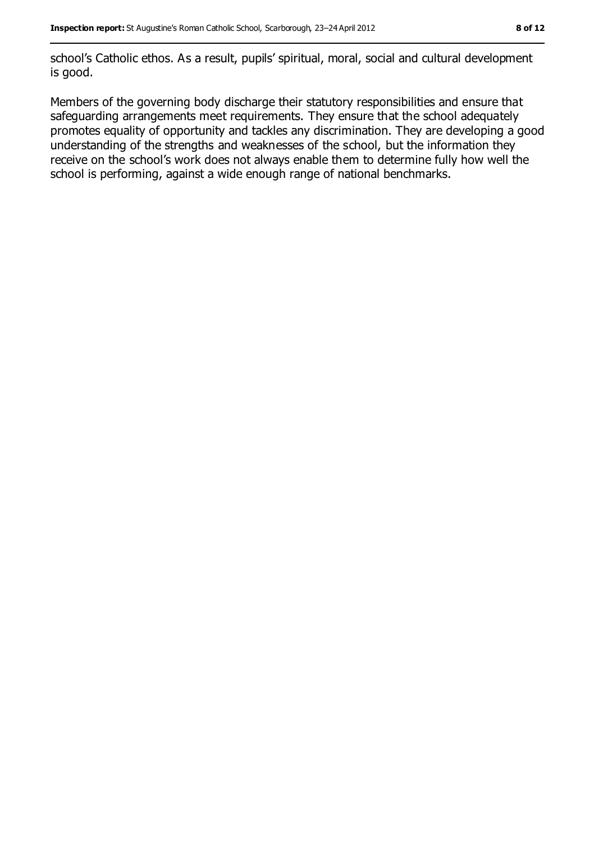school's Catholic ethos. As a result, pupils' spiritual, moral, social and cultural development is good.

Members of the governing body discharge their statutory responsibilities and ensure that safeguarding arrangements meet requirements. They ensure that the school adequately promotes equality of opportunity and tackles any discrimination. They are developing a good understanding of the strengths and weaknesses of the school, but the information they receive on the school's work does not always enable them to determine fully how well the school is performing, against a wide enough range of national benchmarks.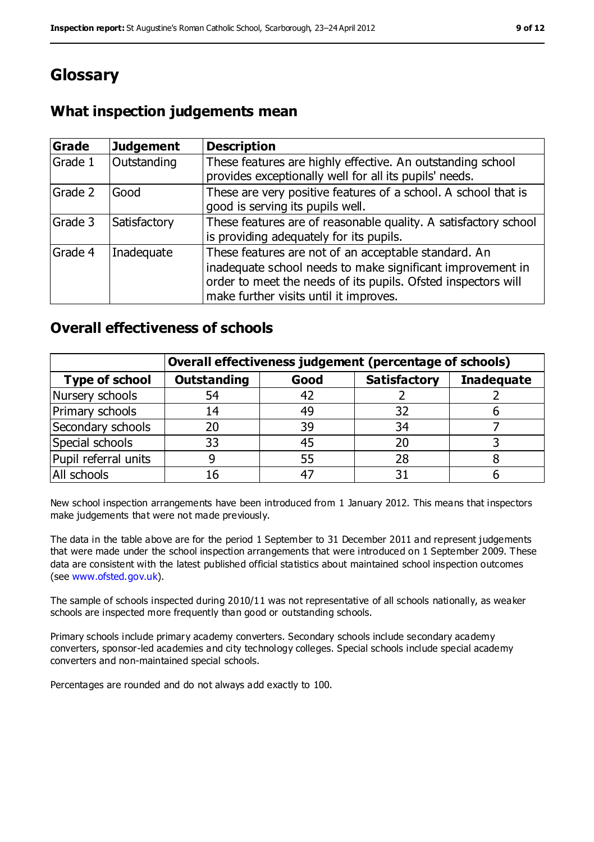# **Glossary**

### **What inspection judgements mean**

| <b>Grade</b> | Judgement    | <b>Description</b>                                                                                                                                                                                                            |
|--------------|--------------|-------------------------------------------------------------------------------------------------------------------------------------------------------------------------------------------------------------------------------|
| Grade 1      | Outstanding  | These features are highly effective. An outstanding school<br>provides exceptionally well for all its pupils' needs.                                                                                                          |
| Grade 2      | Good         | These are very positive features of a school. A school that is<br>good is serving its pupils well.                                                                                                                            |
| Grade 3      | Satisfactory | These features are of reasonable quality. A satisfactory school<br>is providing adequately for its pupils.                                                                                                                    |
| Grade 4      | Inadequate   | These features are not of an acceptable standard. An<br>inadequate school needs to make significant improvement in<br>order to meet the needs of its pupils. Ofsted inspectors will<br>make further visits until it improves. |

### **Overall effectiveness of schools**

|                       | Overall effectiveness judgement (percentage of schools) |      |                     |                   |
|-----------------------|---------------------------------------------------------|------|---------------------|-------------------|
| <b>Type of school</b> | <b>Outstanding</b>                                      | Good | <b>Satisfactory</b> | <b>Inadequate</b> |
| Nursery schools       | 54                                                      | 42   |                     |                   |
| Primary schools       | 14                                                      | 49   | 32                  |                   |
| Secondary schools     | 20                                                      | 39   | 34                  |                   |
| Special schools       | 33                                                      | 45   | 20                  |                   |
| Pupil referral units  |                                                         | 55   | 28                  |                   |
| All schools           | 16                                                      | $-4$ |                     |                   |

New school inspection arrangements have been introduced from 1 January 2012. This means that inspectors make judgements that were not made previously.

The data in the table above are for the period 1 September to 31 December 2011 and represent judgements that were made under the school inspection arrangements that were introduced on 1 September 2009. These data are consistent with the latest published official statistics about maintained school inspection outcomes (see [www.ofsted.gov.uk\)](www.ofsted.gov.uk).

The sample of schools inspected during 2010/11 was not representative of all schools nationally, as weaker schools are inspected more frequently than good or outstanding schools.

Primary schools include primary academy converters. Secondary schools include secondary academy converters, sponsor-led academies and city technology colleges. Special schools include special academy converters and non-maintained special schools.

Percentages are rounded and do not always add exactly to 100.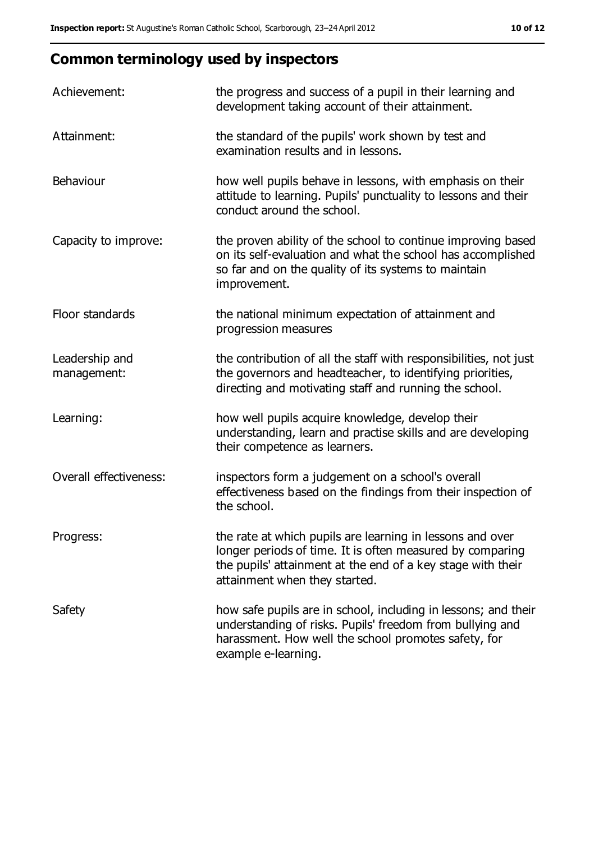# **Common terminology used by inspectors**

| Achievement:                  | the progress and success of a pupil in their learning and<br>development taking account of their attainment.                                                                                                           |
|-------------------------------|------------------------------------------------------------------------------------------------------------------------------------------------------------------------------------------------------------------------|
| Attainment:                   | the standard of the pupils' work shown by test and<br>examination results and in lessons.                                                                                                                              |
| Behaviour                     | how well pupils behave in lessons, with emphasis on their<br>attitude to learning. Pupils' punctuality to lessons and their<br>conduct around the school.                                                              |
| Capacity to improve:          | the proven ability of the school to continue improving based<br>on its self-evaluation and what the school has accomplished<br>so far and on the quality of its systems to maintain<br>improvement.                    |
| Floor standards               | the national minimum expectation of attainment and<br>progression measures                                                                                                                                             |
| Leadership and<br>management: | the contribution of all the staff with responsibilities, not just<br>the governors and headteacher, to identifying priorities,<br>directing and motivating staff and running the school.                               |
| Learning:                     | how well pupils acquire knowledge, develop their<br>understanding, learn and practise skills and are developing<br>their competence as learners.                                                                       |
| <b>Overall effectiveness:</b> | inspectors form a judgement on a school's overall<br>effectiveness based on the findings from their inspection of<br>the school.                                                                                       |
| Progress:                     | the rate at which pupils are learning in lessons and over<br>longer periods of time. It is often measured by comparing<br>the pupils' attainment at the end of a key stage with their<br>attainment when they started. |
| Safety                        | how safe pupils are in school, including in lessons; and their<br>understanding of risks. Pupils' freedom from bullying and<br>harassment. How well the school promotes safety, for<br>example e-learning.             |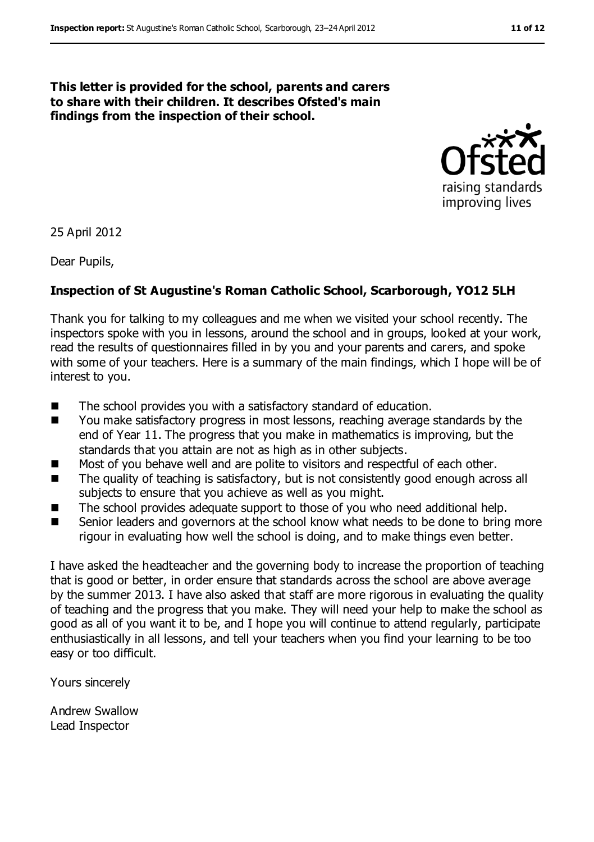#### **This letter is provided for the school, parents and carers to share with their children. It describes Ofsted's main findings from the inspection of their school.**



25 April 2012

Dear Pupils,

#### **Inspection of St Augustine's Roman Catholic School, Scarborough, YO12 5LH**

Thank you for talking to my colleagues and me when we visited your school recently. The inspectors spoke with you in lessons, around the school and in groups, looked at your work, read the results of questionnaires filled in by you and your parents and carers, and spoke with some of your teachers. Here is a summary of the main findings, which I hope will be of interest to you.

- The school provides you with a satisfactory standard of education.
- You make satisfactory progress in most lessons, reaching average standards by the end of Year 11. The progress that you make in mathematics is improving, but the standards that you attain are not as high as in other subjects.
- Most of you behave well and are polite to visitors and respectful of each other.
- The quality of teaching is satisfactory, but is not consistently good enough across all subjects to ensure that you achieve as well as you might.
- The school provides adequate support to those of you who need additional help.
- Senior leaders and governors at the school know what needs to be done to bring more rigour in evaluating how well the school is doing, and to make things even better.

I have asked the headteacher and the governing body to increase the proportion of teaching that is good or better, in order ensure that standards across the school are above average by the summer 2013. I have also asked that staff are more rigorous in evaluating the quality of teaching and the progress that you make. They will need your help to make the school as good as all of you want it to be, and I hope you will continue to attend regularly, participate enthusiastically in all lessons, and tell your teachers when you find your learning to be too easy or too difficult.

Yours sincerely

Andrew Swallow Lead Inspector